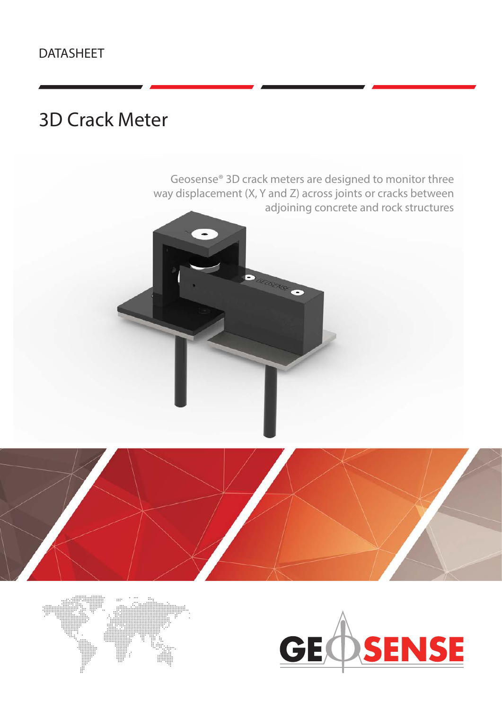# DATASHEET

# 3D Crack Meter





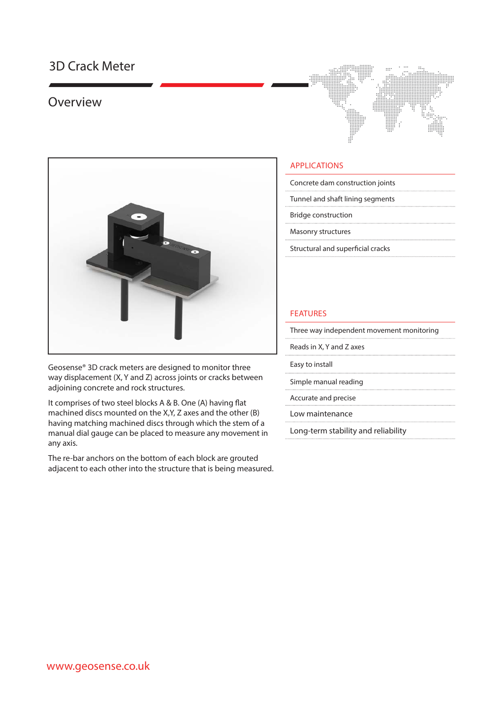## 3D Crack Meter

### Overview



Geosense® 3D crack meters are designed to monitor three way displacement (X, Y and Z) across joints or cracks between adjoining concrete and rock structures.

It comprises of two steel blocks A & B. One (A) having flat machined discs mounted on the X,Y, Z axes and the other (B) having matching machined discs through which the stem of a manual dial gauge can be placed to measure any movement in any axis.

The re-bar anchors on the bottom of each block are grouted adjacent to each other into the structure that is being measured.



#### APPLICATIONS

- Concrete dam construction joints
- Tunnel and shaft lining segments
- Bridge construction
- Masonry structures
- Structural and superficial cracks

#### FEATURES

- Three way independent movement monitoring
- Reads in X, Y and Z axes
- Easy to install
- Simple manual reading
- 
- Accurate and precise
- Low maintenance
- Long-term stability and reliability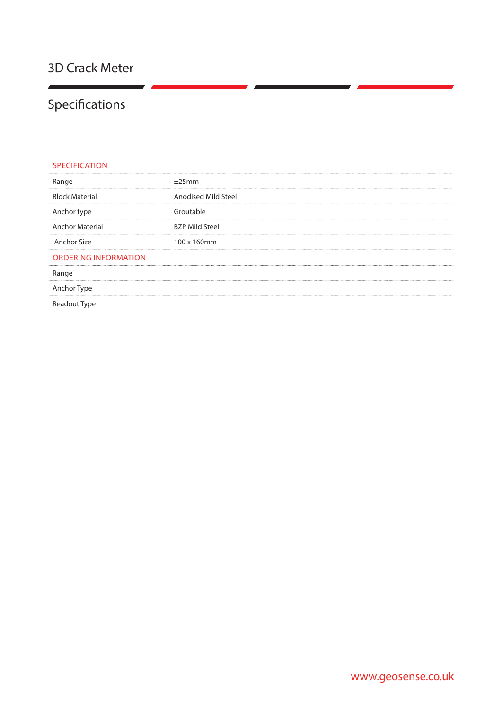# Specifications

| <b>SPECIFICATION</b>        |                       |
|-----------------------------|-----------------------|
| Range                       | ±25mm                 |
| <b>Block Material</b>       | Anodised Mild Steel   |
| Anchor type                 | Groutable             |
| <b>Anchor Material</b>      | <b>BZP Mild Steel</b> |
| Anchor Size                 | 100 x 160mm           |
| <b>ORDERING INFORMATION</b> |                       |
| Range                       |                       |
| Anchor Type                 |                       |
| Readout Type                |                       |
|                             |                       |